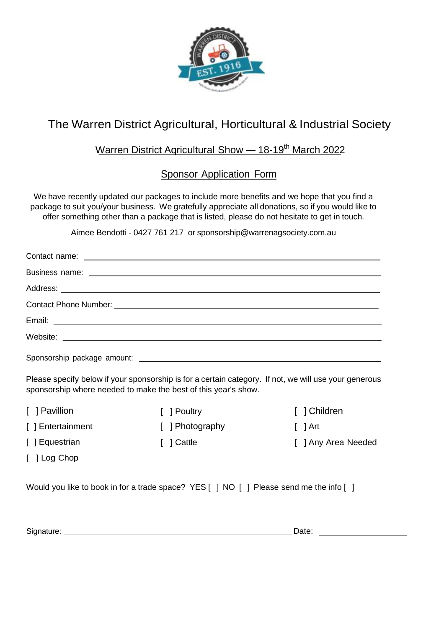

## The Warren District Agricultural, Horticultural & Industrial Society

## Warren District Agricultural Show - 18-19<sup>th</sup> March 2022

## Sponsor Application Form

We have recently updated our packages to include more benefits and we hope that you find a package to suit you/your business. We gratefully appreciate all donations, so if you would like to offer something other than a package that is listed, please do not hesitate to get in touch.

Aimee Bendotti - 0427 761 217 or [sponsorship@warrenagsociety.com.au](mailto:kim@warrenagsociety.com.au)

Please specify below if your sponsorship is for a certain category. If not, we will use your generous sponsorship where needed to make the best of this year's show.

- [ ] Pavillion
- [ ] Entertainment
- [ ] Poultry
- 
- [ ] Photography [ ] Cattle
- [ ] Children

 $\lceil$   $\rceil$  Art

[ ] Any Area Needed

[ ] Log Chop

[ ] Equestrian

Would you like to book in for a trade space? YES [ ] NO [ ] Please send me the info [ ]

Signature: Date: